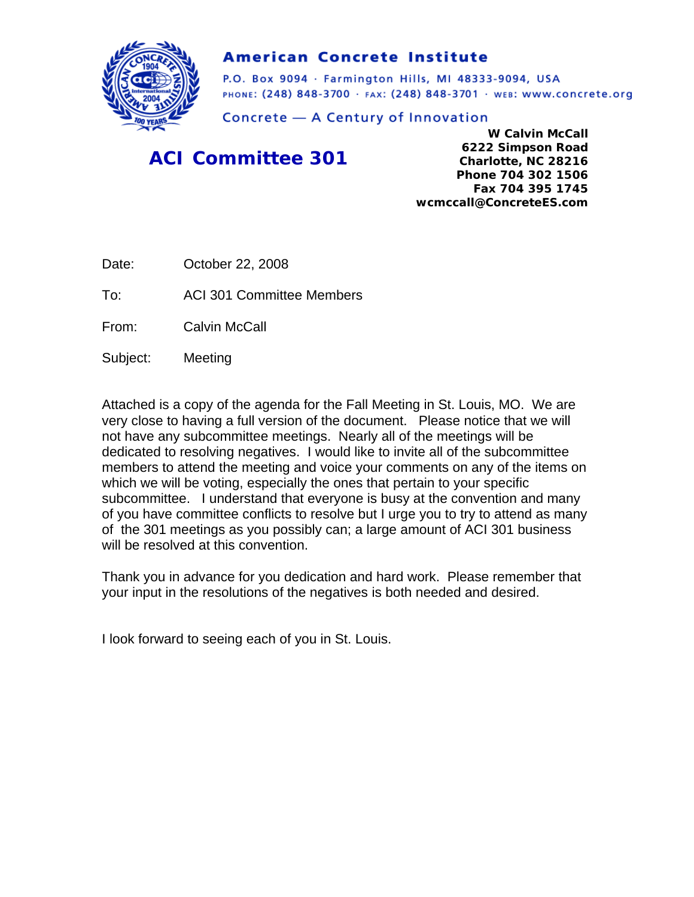

## **American Concrete Institute**

P.O. Box 9094 · Farmington Hills, MI 48333-9094, USA PHONE: (248) 848-3700 · FAX: (248) 848-3701 · WEB: WWW.CONCrete.org

Concrete - A Century of Innovation

## *ACI Committee 301*

**W Calvin McCall 6222 Simpson Road Charlotte, NC 28216 Phone 704 302 1506 Fax 704 395 1745 wcmccall@ConcreteES.com** 

Date: **October 22, 2008** 

To: ACI 301 Committee Members

From: Calvin McCall

Subject: Meeting

Attached is a copy of the agenda for the Fall Meeting in St. Louis, MO. We are very close to having a full version of the document. Please notice that we will not have any subcommittee meetings. Nearly all of the meetings will be dedicated to resolving negatives. I would like to invite all of the subcommittee members to attend the meeting and voice your comments on any of the items on which we will be voting, especially the ones that pertain to your specific subcommittee. I understand that everyone is busy at the convention and many of you have committee conflicts to resolve but I urge you to try to attend as many of the 301 meetings as you possibly can; a large amount of ACI 301 business will be resolved at this convention.

Thank you in advance for you dedication and hard work. Please remember that your input in the resolutions of the negatives is both needed and desired.

I look forward to seeing each of you in St. Louis.